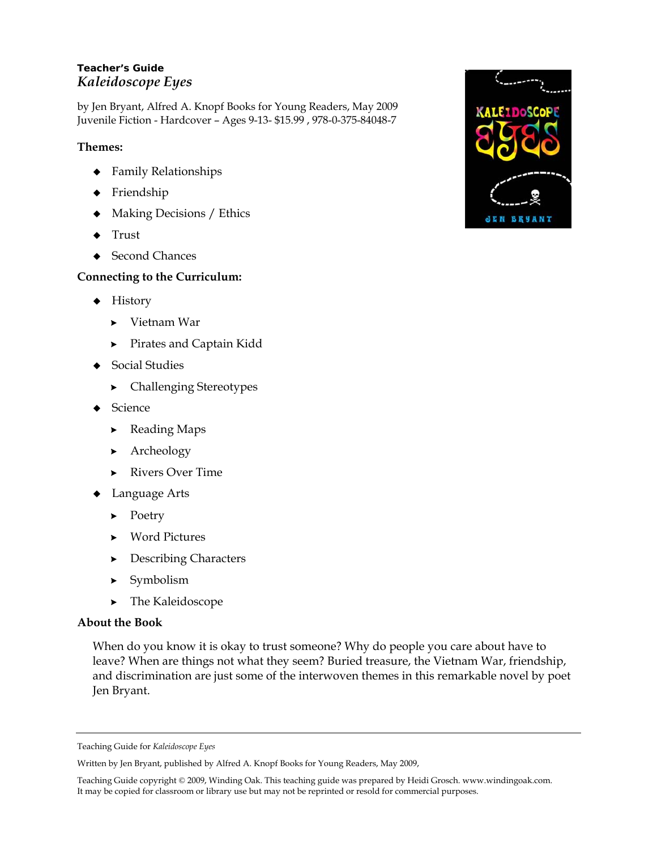# **Teacher's Guide**  *Kaleidoscope Eyes*

by Jen Bryant, Alfred A. Knopf Books for Young Readers, May 2009 Juvenile Fiction - Hardcover – Ages 9-13- \$15.99 , 978-0-375-84048-7

# **Themes:**

- Family Relationships
- ◆ Friendship
- Making Decisions / Ethics
- $\triangleleft$  Trust
- ◆ Second Chances

# **Connecting to the Curriculum:**

- $\blacklozenge$  History
	- Vietnam War
	- **>** Pirates and Captain Kidd
- ◆ Social Studies
	- Challenging Stereotypes
- ◆ Science
	- **Example 2** Reading Maps
	- **Archeology**
	- **Rivers Over Time**
- Language Arts
	- $\blacktriangleright$  Poetry
	- Word Pictures
	- **Describing Characters**
	- > Symbolism
	- > The Kaleidoscope

# **About the Book**

When do you know it is okay to trust someone? Why do people you care about have to leave? When are things not what they seem? Buried treasure, the Vietnam War, friendship, and discrimination are just some of the interwoven themes in this remarkable novel by poet Jen Bryant.



Teaching Guide for *Kaleidoscope Eyes* 

Written by Jen Bryant, published by Alfred A. Knopf Books for Young Readers, May 2009,

Teaching Guide copyright © 2009, Winding Oak. This teaching guide was prepared by Heidi Grosch. www.windingoak.com. It may be copied for classroom or library use but may not be reprinted or resold for commercial purposes.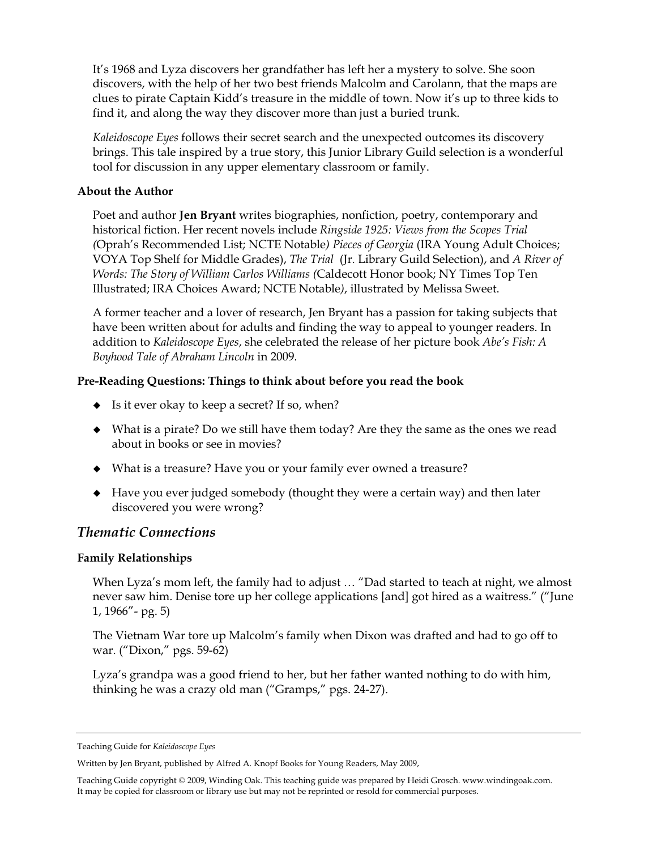It's 1968 and Lyza discovers her grandfather has left her a mystery to solve. She soon discovers, with the help of her two best friends Malcolm and Carolann, that the maps are clues to pirate Captain Kidd's treasure in the middle of town. Now it's up to three kids to find it, and along the way they discover more than just a buried trunk.

*Kaleidoscope Eyes* follows their secret search and the unexpected outcomes its discovery brings. This tale inspired by a true story, this Junior Library Guild selection is a wonderful tool for discussion in any upper elementary classroom or family.

### **About the Author**

Poet and author **Jen Bryant** writes biographies, nonfiction, poetry, contemporary and historical fiction. Her recent novels include *Ringside 1925: Views from the Scopes Trial (*Oprah's Recommended List; NCTE Notable*) Pieces of Georgia* (IRA Young Adult Choices; VOYA Top Shelf for Middle Grades), *The Trial* (Jr. Library Guild Selection), and *A River of Words: The Story of William Carlos Williams (*Caldecott Honor book; NY Times Top Ten Illustrated; IRA Choices Award; NCTE Notable*)*, illustrated by Melissa Sweet.

A former teacher and a lover of research, Jen Bryant has a passion for taking subjects that have been written about for adults and finding the way to appeal to younger readers. In addition to *Kaleidoscope Eyes*, she celebrated the release of her picture book *Abe's Fish: A Boyhood Tale of Abraham Lincoln* in 2009.

# **Pre-Reading Questions: Things to think about before you read the book**

- $\bullet$  Is it ever okay to keep a secret? If so, when?
- What is a pirate? Do we still have them today? Are they the same as the ones we read about in books or see in movies?
- What is a treasure? Have you or your family ever owned a treasure?
- Have you ever judged somebody (thought they were a certain way) and then later discovered you were wrong?

# *Thematic Connections*

# **Family Relationships**

When Lyza's mom left, the family had to adjust … "Dad started to teach at night, we almost never saw him. Denise tore up her college applications [and] got hired as a waitress." ("June 1, 1966"- pg. 5)

The Vietnam War tore up Malcolm's family when Dixon was drafted and had to go off to war. ("Dixon," pgs. 59-62)

Lyza's grandpa was a good friend to her, but her father wanted nothing to do with him, thinking he was a crazy old man ("Gramps," pgs. 24-27).

Teaching Guide for *Kaleidoscope Eyes* 

Written by Jen Bryant, published by Alfred A. Knopf Books for Young Readers, May 2009,

Teaching Guide copyright © 2009, Winding Oak. This teaching guide was prepared by Heidi Grosch. www.windingoak.com. It may be copied for classroom or library use but may not be reprinted or resold for commercial purposes.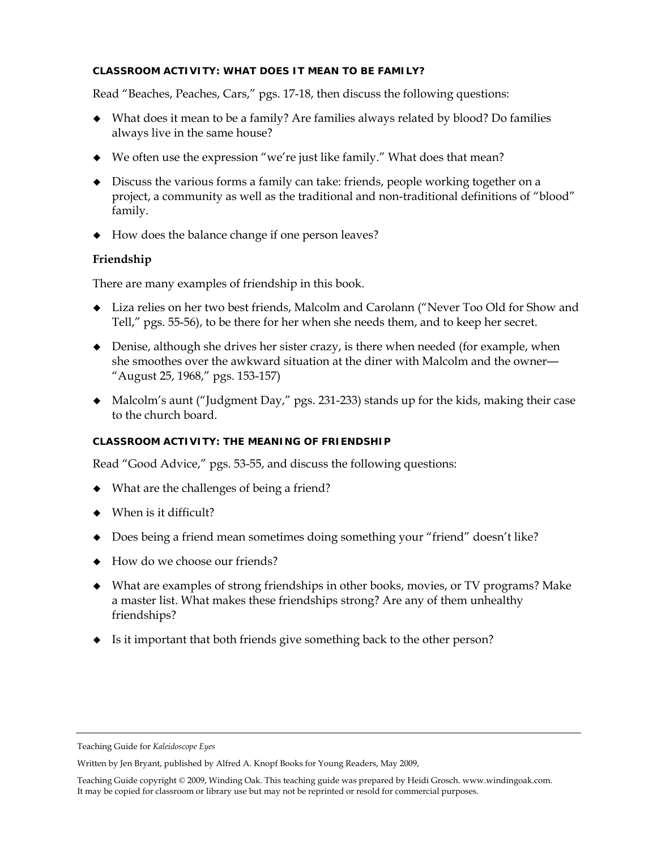### **CLASSROOM ACTIVITY: WHAT DOES IT MEAN TO BE FAMILY?**

Read "Beaches, Peaches, Cars," pgs. 17-18, then discuss the following questions:

- What does it mean to be a family? Are families always related by blood? Do families always live in the same house?
- We often use the expression "we're just like family." What does that mean?
- Discuss the various forms a family can take: friends, people working together on a project, a community as well as the traditional and non-traditional definitions of "blood" family.
- How does the balance change if one person leaves?

# **Friendship**

There are many examples of friendship in this book.

- Liza relies on her two best friends, Malcolm and Carolann ("Never Too Old for Show and Tell," pgs. 55-56), to be there for her when she needs them, and to keep her secret.
- Denise, although she drives her sister crazy, is there when needed (for example, when she smoothes over the awkward situation at the diner with Malcolm and the owner— "August 25, 1968," pgs. 153-157)
- Malcolm's aunt ("Judgment Day," pgs. 231-233) stands up for the kids, making their case to the church board.

# **CLASSROOM ACTIVITY: THE MEANING OF FRIENDSHIP**

Read "Good Advice," pgs. 53-55, and discuss the following questions:

- What are the challenges of being a friend?
- When is it difficult?
- Does being a friend mean sometimes doing something your "friend" doesn't like?
- How do we choose our friends?
- What are examples of strong friendships in other books, movies, or TV programs? Make a master list. What makes these friendships strong? Are any of them unhealthy friendships?
- Is it important that both friends give something back to the other person?

Teaching Guide for *Kaleidoscope Eyes* 

Written by Jen Bryant, published by Alfred A. Knopf Books for Young Readers, May 2009,

Teaching Guide copyright © 2009, Winding Oak. This teaching guide was prepared by Heidi Grosch. www.windingoak.com. It may be copied for classroom or library use but may not be reprinted or resold for commercial purposes.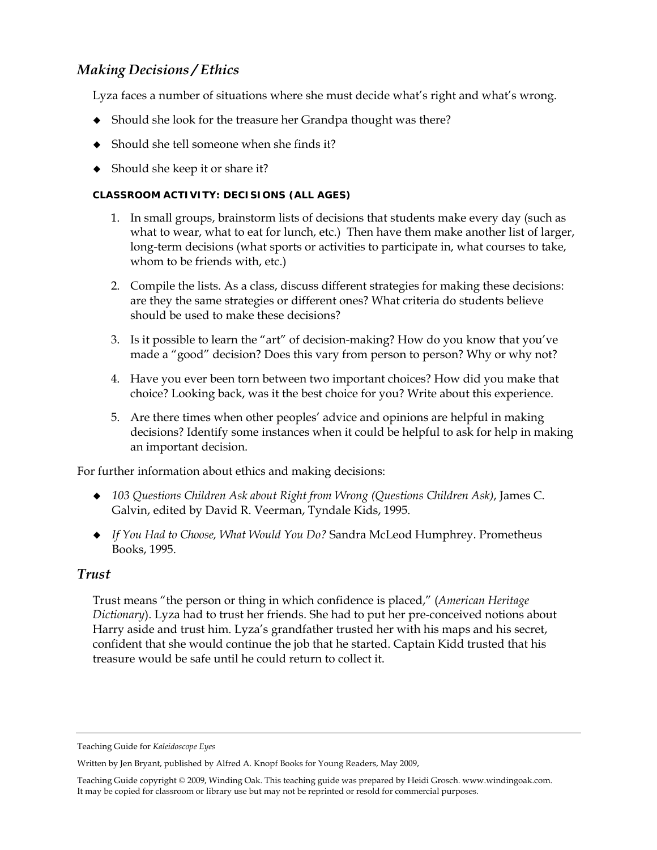# *Making Decisions / Ethics*

Lyza faces a number of situations where she must decide what's right and what's wrong.

- Should she look for the treasure her Grandpa thought was there?
- Should she tell someone when she finds it?
- Should she keep it or share it?

# **CLASSROOM ACTIVITY: DECISIONS (ALL AGES)**

- 1. In small groups, brainstorm lists of decisions that students make every day (such as what to wear, what to eat for lunch, etc.) Then have them make another list of larger, long-term decisions (what sports or activities to participate in, what courses to take, whom to be friends with, etc.)
- 2. Compile the lists. As a class, discuss different strategies for making these decisions: are they the same strategies or different ones? What criteria do students believe should be used to make these decisions?
- 3. Is it possible to learn the "art" of decision-making? How do you know that you've made a "good" decision? Does this vary from person to person? Why or why not?
- 4. Have you ever been torn between two important choices? How did you make that choice? Looking back, was it the best choice for you? Write about this experience.
- 5. Are there times when other peoples' advice and opinions are helpful in making decisions? Identify some instances when it could be helpful to ask for help in making an important decision.

For further information about ethics and making decisions:

- *103 Questions Children Ask about Right from Wrong (Questions Children Ask)*, James C. Galvin, edited by David R. Veerman, Tyndale Kids, 1995.
- *If You Had to Choose, What Would You Do?* Sandra McLeod Humphrey. Prometheus Books, 1995.

# *Trust*

Trust means "the person or thing in which confidence is placed," (*American Heritage Dictionary*). Lyza had to trust her friends. She had to put her pre-conceived notions about Harry aside and trust him. Lyza's grandfather trusted her with his maps and his secret, confident that she would continue the job that he started. Captain Kidd trusted that his treasure would be safe until he could return to collect it.

Teaching Guide for *Kaleidoscope Eyes* 

Written by Jen Bryant, published by Alfred A. Knopf Books for Young Readers, May 2009,

Teaching Guide copyright © 2009, Winding Oak. This teaching guide was prepared by Heidi Grosch. www.windingoak.com. It may be copied for classroom or library use but may not be reprinted or resold for commercial purposes.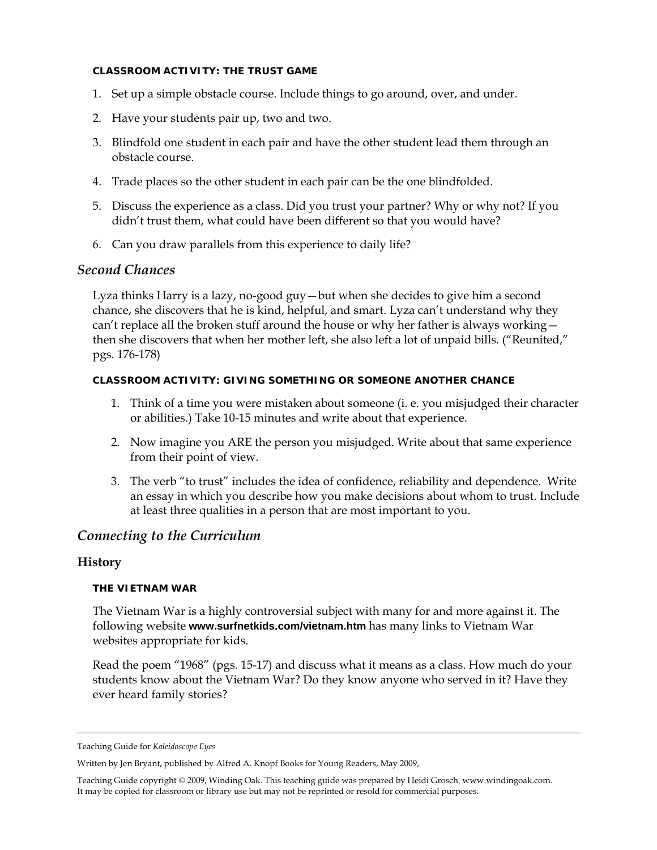#### **CLASSROOM ACTIVITY: THE TRUST GAME**

- 1. Set up a simple obstacle course. Include things to go around, over, and under.
- 2. Have your students pair up, two and two.
- 3. Blindfold one student in each pair and have the other student lead them through an obstacle course.
- 4. Trade places so the other student in each pair can be the one blindfolded.
- 5. Discuss the experience as a class. Did you trust your partner? Why or why not? If you didn't trust them, what could have been different so that you would have?
- 6. Can you draw parallels from this experience to daily life?

# *Second Chances*

Lyza thinks Harry is a lazy, no-good guy—but when she decides to give him a second chance, she discovers that he is kind, helpful, and smart. Lyza can't understand why they can't replace all the broken stuff around the house or why her father is always working then she discovers that when her mother left, she also left a lot of unpaid bills. ("Reunited," pgs. 176-178)

#### **CLASSROOM ACTIVITY: GIVING SOMETHING OR SOMEONE ANOTHER CHANCE**

- 1. Think of a time you were mistaken about someone (i. e. you misjudged their character or abilities.) Take 10-15 minutes and write about that experience.
- 2. Now imagine you ARE the person you misjudged. Write about that same experience from their point of view.
- 3. The verb "to trust" includes the idea of confidence, reliability and dependence. Write an essay in which you describe how you make decisions about whom to trust. Include at least three qualities in a person that are most important to you.

# *Connecting to the Curriculum*

# **History**

#### **THE VIETNAM WAR**

The Vietnam War is a highly controversial subject with many for and more against it. The following website **www.surfnetkids.com/vietnam.htm** has many links to Vietnam War websites appropriate for kids.

Read the poem "1968" (pgs. 15-17) and discuss what it means as a class. How much do your students know about the Vietnam War? Do they know anyone who served in it? Have they ever heard family stories?

Teaching Guide for *Kaleidoscope Eyes* 

Written by Jen Bryant, published by Alfred A. Knopf Books for Young Readers, May 2009,

Teaching Guide copyright © 2009, Winding Oak. This teaching guide was prepared by Heidi Grosch. www.windingoak.com. It may be copied for classroom or library use but may not be reprinted or resold for commercial purposes.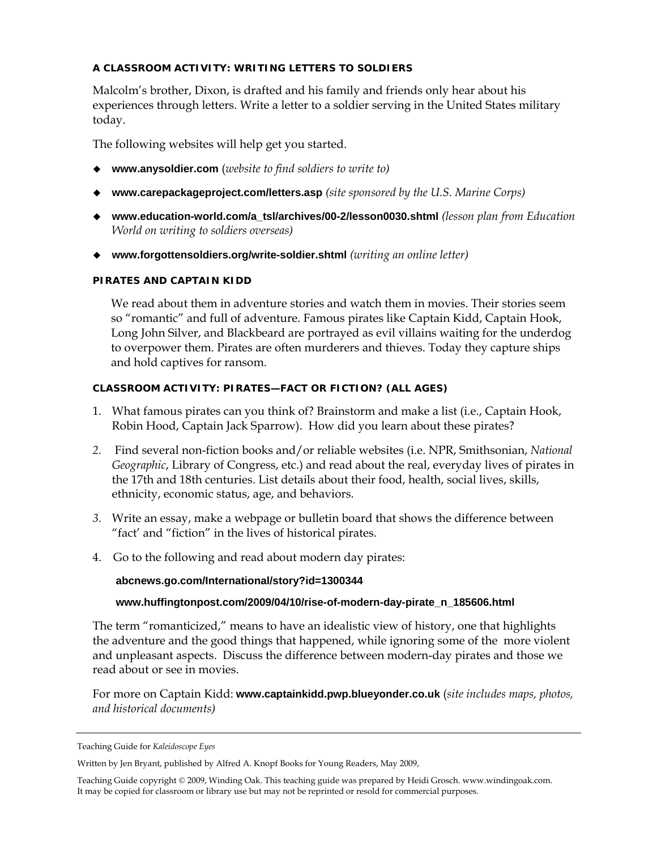# **A CLASSROOM ACTIVITY: WRITING LETTERS TO SOLDIERS**

Malcolm's brother, Dixon, is drafted and his family and friends only hear about his experiences through letters. Write a letter to a soldier serving in the United States military today.

The following websites will help get you started.

- **www.anysoldier.com** (*website to find soldiers to write to)*
- **www.carepackageproject.com/letters.asp** *(site sponsored by the U.S. Marine Corps)*
- **www.education-world.com/a\_tsl/archives/00-2/lesson0030.shtml** *(lesson plan from Education World on writing to soldiers overseas)*
- **www.forgottensoldiers.org/write-soldier.shtml** *(writing an online letter)*

#### **PIRATES AND CAPTAIN KIDD**

We read about them in adventure stories and watch them in movies. Their stories seem so "romantic" and full of adventure. Famous pirates like Captain Kidd, Captain Hook, Long John Silver, and Blackbeard are portrayed as evil villains waiting for the underdog to overpower them. Pirates are often murderers and thieves. Today they capture ships and hold captives for ransom.

#### **CLASSROOM ACTIVITY: PIRATES—FACT OR FICTION? (ALL AGES)**

- 1. What famous pirates can you think of? Brainstorm and make a list (i.e., Captain Hook, Robin Hood, Captain Jack Sparrow). How did you learn about these pirates?
- *2.* Find several non-fiction books and/or reliable websites (i.e. NPR, Smithsonian, *National Geographic*, Library of Congress, etc.) and read about the real, everyday lives of pirates in the 17th and 18th centuries. List details about their food, health, social lives, skills, ethnicity, economic status, age, and behaviors.
- *3.* Write an essay, make a webpage or bulletin board that shows the difference between "fact' and "fiction" in the lives of historical pirates.
- 4. Go to the following and read about modern day pirates:

#### **abcnews.go.com/International/story?id=1300344**

#### **www.huffingtonpost.com/2009/04/10/rise-of-modern-day-pirate\_n\_185606.html**

The term "romanticized," means to have an idealistic view of history, one that highlights the adventure and the good things that happened, while ignoring some of the more violent and unpleasant aspects. Discuss the difference between modern-day pirates and those we read about or see in movies.

For more on Captain Kidd: **www.captainkidd.pwp.blueyonder.co.uk** (*site includes maps, photos, and historical documents)*

Teaching Guide for *Kaleidoscope Eyes* 

Written by Jen Bryant, published by Alfred A. Knopf Books for Young Readers, May 2009,

Teaching Guide copyright © 2009, Winding Oak. This teaching guide was prepared by Heidi Grosch. www.windingoak.com. It may be copied for classroom or library use but may not be reprinted or resold for commercial purposes.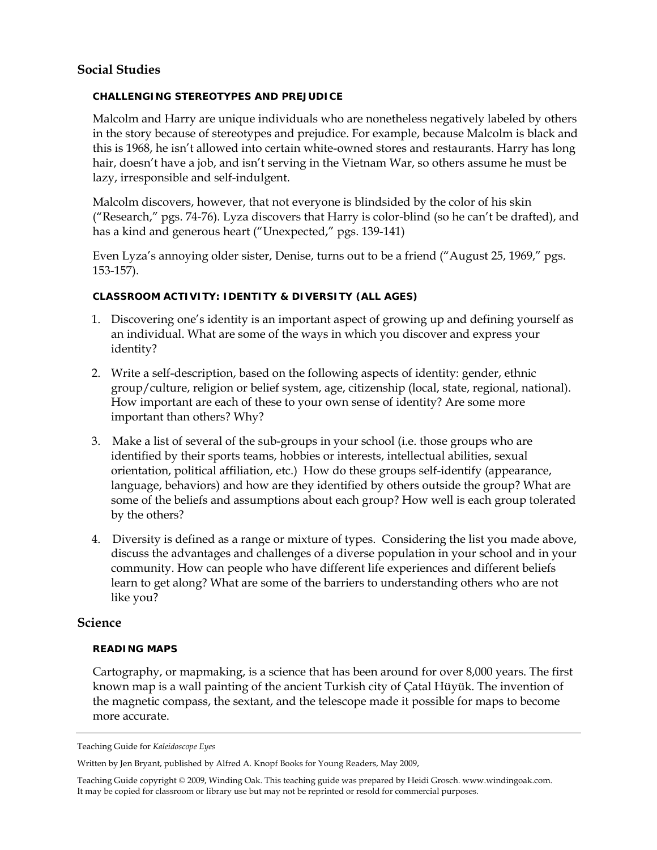# **Social Studies**

### **CHALLENGING STEREOTYPES AND PREJUDICE**

Malcolm and Harry are unique individuals who are nonetheless negatively labeled by others in the story because of stereotypes and prejudice. For example, because Malcolm is black and this is 1968, he isn't allowed into certain white-owned stores and restaurants. Harry has long hair, doesn't have a job, and isn't serving in the Vietnam War, so others assume he must be lazy, irresponsible and self-indulgent.

Malcolm discovers, however, that not everyone is blindsided by the color of his skin ("Research," pgs. 74-76). Lyza discovers that Harry is color-blind (so he can't be drafted), and has a kind and generous heart ("Unexpected," pgs. 139-141)

Even Lyza's annoying older sister, Denise, turns out to be a friend ("August 25, 1969," pgs. 153-157).

### **CLASSROOM ACTIVITY: IDENTITY & DIVERSITY (ALL AGES)**

- 1. Discovering one's identity is an important aspect of growing up and defining yourself as an individual. What are some of the ways in which you discover and express your identity?
- 2. Write a self-description, based on the following aspects of identity: gender, ethnic group/culture, religion or belief system, age, citizenship (local, state, regional, national). How important are each of these to your own sense of identity? Are some more important than others? Why?
- 3. Make a list of several of the sub-groups in your school (i.e. those groups who are identified by their sports teams, hobbies or interests, intellectual abilities, sexual orientation, political affiliation, etc.) How do these groups self-identify (appearance, language, behaviors) and how are they identified by others outside the group? What are some of the beliefs and assumptions about each group? How well is each group tolerated by the others?
- 4. Diversity is defined as a range or mixture of types. Considering the list you made above, discuss the advantages and challenges of a diverse population in your school and in your community. How can people who have different life experiences and different beliefs learn to get along? What are some of the barriers to understanding others who are not like you?

# **Science**

#### **READING MAPS**

Cartography, or mapmaking, is a science that has been around for over 8,000 years. The first known map is a wall painting of the ancient Turkish city of Çatal Hüyük. The invention of the magnetic compass, the sextant, and the telescope made it possible for maps to become more accurate.

Teaching Guide for *Kaleidoscope Eyes* 

Written by Jen Bryant, published by Alfred A. Knopf Books for Young Readers, May 2009,

Teaching Guide copyright © 2009, Winding Oak. This teaching guide was prepared by Heidi Grosch. www.windingoak.com. It may be copied for classroom or library use but may not be reprinted or resold for commercial purposes.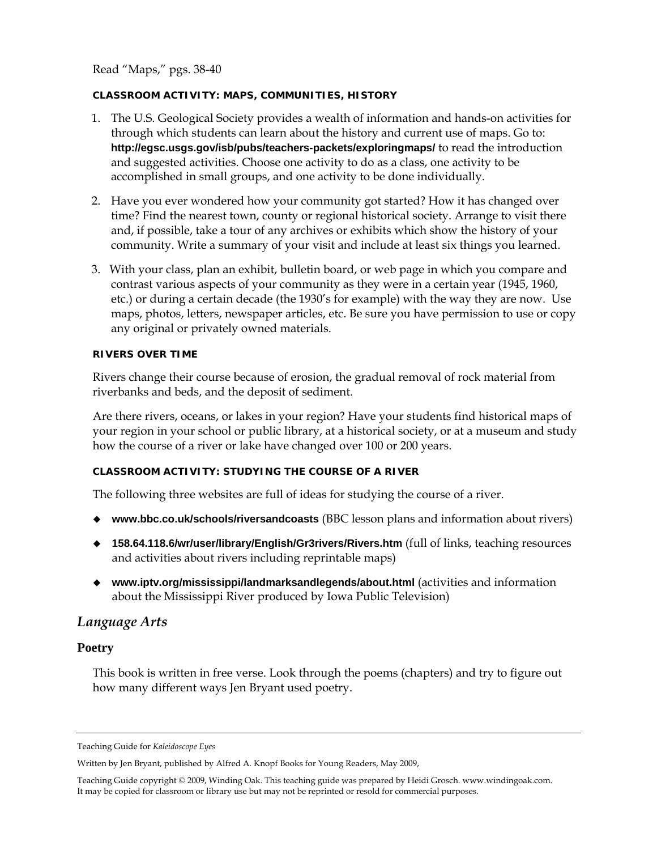Read "Maps," pgs. 38-40

### **CLASSROOM ACTIVITY: MAPS, COMMUNITIES, HISTORY**

- 1. The U.S. Geological Society provides a wealth of information and hands-on activities for through which students can learn about the history and current use of maps. Go to: **http://egsc.usgs.gov/isb/pubs/teachers-packets/exploringmaps/** to read the introduction and suggested activities. Choose one activity to do as a class, one activity to be accomplished in small groups, and one activity to be done individually.
- 2. Have you ever wondered how your community got started? How it has changed over time? Find the nearest town, county or regional historical society. Arrange to visit there and, if possible, take a tour of any archives or exhibits which show the history of your community. Write a summary of your visit and include at least six things you learned.
- 3. With your class, plan an exhibit, bulletin board, or web page in which you compare and contrast various aspects of your community as they were in a certain year (1945, 1960, etc.) or during a certain decade (the 1930's for example) with the way they are now. Use maps, photos, letters, newspaper articles, etc. Be sure you have permission to use or copy any original or privately owned materials.

### **RIVERS OVER TIME**

Rivers change their course because of erosion, the gradual removal of rock material from riverbanks and beds, and the deposit of sediment.

Are there rivers, oceans, or lakes in your region? Have your students find historical maps of your region in your school or public library, at a historical society, or at a museum and study how the course of a river or lake have changed over 100 or 200 years.

# **CLASSROOM ACTIVITY: STUDYING THE COURSE OF A RIVER**

The following three websites are full of ideas for studying the course of a river.

- **www.bbc.co.uk/schools/riversandcoasts** (BBC lesson plans and information about rivers)
- **158.64.118.6/wr/user/library/English/Gr3rivers/Rivers.htm** (full of links, teaching resources and activities about rivers including reprintable maps)
- **www.iptv.org/mississippi/landmarksandlegends/about.html** (activities and information about the Mississippi River produced by Iowa Public Television)

# *Language Arts*

# **Poetry**

This book is written in free verse. Look through the poems (chapters) and try to figure out how many different ways Jen Bryant used poetry.

Teaching Guide for *Kaleidoscope Eyes* 

Written by Jen Bryant, published by Alfred A. Knopf Books for Young Readers, May 2009,

Teaching Guide copyright © 2009, Winding Oak. This teaching guide was prepared by Heidi Grosch. www.windingoak.com. It may be copied for classroom or library use but may not be reprinted or resold for commercial purposes.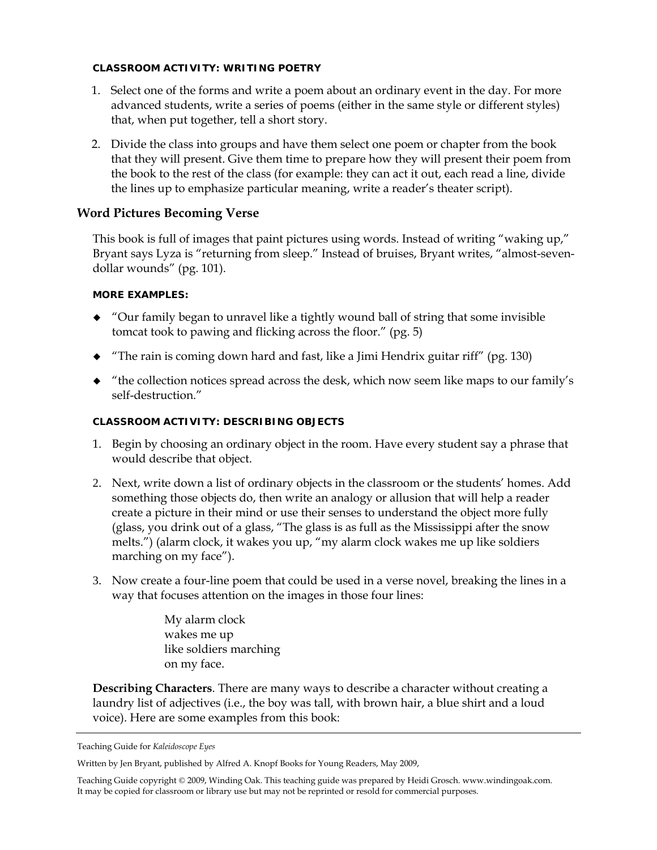### **CLASSROOM ACTIVITY: WRITING POETRY**

- 1. Select one of the forms and write a poem about an ordinary event in the day. For more advanced students, write a series of poems (either in the same style or different styles) that, when put together, tell a short story.
- 2. Divide the class into groups and have them select one poem or chapter from the book that they will present. Give them time to prepare how they will present their poem from the book to the rest of the class (for example: they can act it out, each read a line, divide the lines up to emphasize particular meaning, write a reader's theater script).

# **Word Pictures Becoming Verse**

This book is full of images that paint pictures using words. Instead of writing "waking up," Bryant says Lyza is "returning from sleep." Instead of bruises, Bryant writes, "almost-sevendollar wounds" (pg. 101).

### **MORE EXAMPLES:**

- "Our family began to unravel like a tightly wound ball of string that some invisible tomcat took to pawing and flicking across the floor." (pg. 5)
- $\blacklozenge$  "The rain is coming down hard and fast, like a Jimi Hendrix guitar riff" (pg. 130)
- "the collection notices spread across the desk, which now seem like maps to our family's self-destruction."

# **CLASSROOM ACTIVITY: DESCRIBING OBJECTS**

- 1. Begin by choosing an ordinary object in the room. Have every student say a phrase that would describe that object.
- 2. Next, write down a list of ordinary objects in the classroom or the students' homes. Add something those objects do, then write an analogy or allusion that will help a reader create a picture in their mind or use their senses to understand the object more fully (glass, you drink out of a glass, "The glass is as full as the Mississippi after the snow melts.") (alarm clock, it wakes you up, "my alarm clock wakes me up like soldiers marching on my face").
- 3. Now create a four-line poem that could be used in a verse novel, breaking the lines in a way that focuses attention on the images in those four lines:

My alarm clock wakes me up like soldiers marching on my face.

**Describing Characters**. There are many ways to describe a character without creating a laundry list of adjectives (i.e., the boy was tall, with brown hair, a blue shirt and a loud voice). Here are some examples from this book:

Teaching Guide for *Kaleidoscope Eyes* 

Written by Jen Bryant, published by Alfred A. Knopf Books for Young Readers, May 2009,

Teaching Guide copyright © 2009, Winding Oak. This teaching guide was prepared by Heidi Grosch. www.windingoak.com. It may be copied for classroom or library use but may not be reprinted or resold for commercial purposes.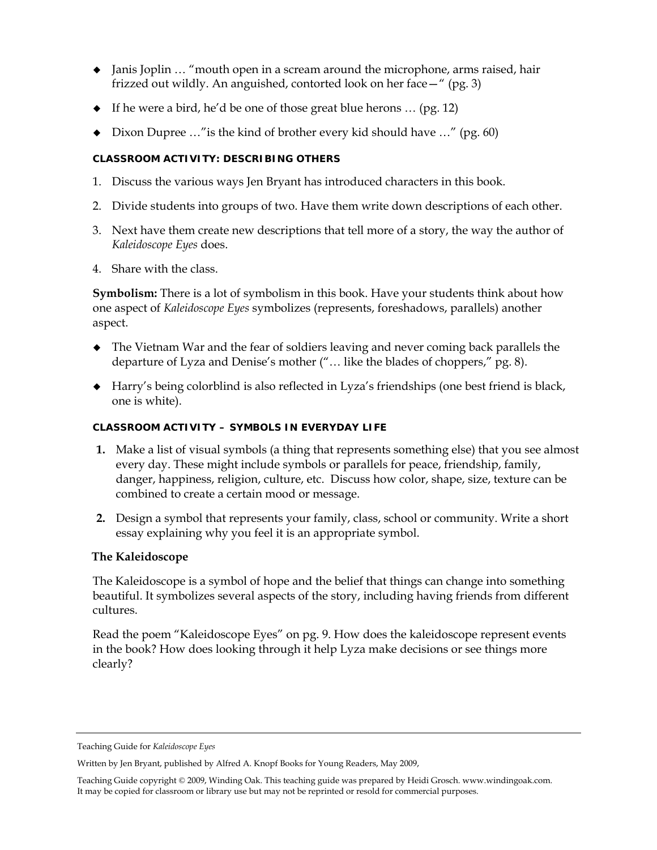- Janis Joplin … "mouth open in a scream around the microphone, arms raised, hair frizzed out wildly. An anguished, contorted look on her face—" (pg. 3)
- $\bullet$  If he were a bird, he'd be one of those great blue herons ... (pg. 12)
- Dixon Dupree …"is the kind of brother every kid should have …" (pg. 60)

# **CLASSROOM ACTIVITY: DESCRIBING OTHERS**

- 1. Discuss the various ways Jen Bryant has introduced characters in this book.
- 2. Divide students into groups of two. Have them write down descriptions of each other.
- 3. Next have them create new descriptions that tell more of a story, the way the author of *Kaleidoscope Eyes* does.
- 4. Share with the class.

**Symbolism:** There is a lot of symbolism in this book. Have your students think about how one aspect of *Kaleidoscope Eyes* symbolizes (represents, foreshadows, parallels) another aspect.

- The Vietnam War and the fear of soldiers leaving and never coming back parallels the departure of Lyza and Denise's mother ("… like the blades of choppers," pg. 8).
- Harry's being colorblind is also reflected in Lyza's friendships (one best friend is black, one is white).

# **CLASSROOM ACTIVITY – SYMBOLS IN EVERYDAY LIFE**

- **1.** Make a list of visual symbols (a thing that represents something else) that you see almost every day. These might include symbols or parallels for peace, friendship, family, danger, happiness, religion, culture, etc. Discuss how color, shape, size, texture can be combined to create a certain mood or message.
- **2.** Design a symbol that represents your family, class, school or community. Write a short essay explaining why you feel it is an appropriate symbol.

# **The Kaleidoscope**

The Kaleidoscope is a symbol of hope and the belief that things can change into something beautiful. It symbolizes several aspects of the story, including having friends from different cultures.

Read the poem "Kaleidoscope Eyes" on pg. 9. How does the kaleidoscope represent events in the book? How does looking through it help Lyza make decisions or see things more clearly?

Teaching Guide for *Kaleidoscope Eyes* 

Written by Jen Bryant, published by Alfred A. Knopf Books for Young Readers, May 2009,

Teaching Guide copyright © 2009, Winding Oak. This teaching guide was prepared by Heidi Grosch. www.windingoak.com. It may be copied for classroom or library use but may not be reprinted or resold for commercial purposes.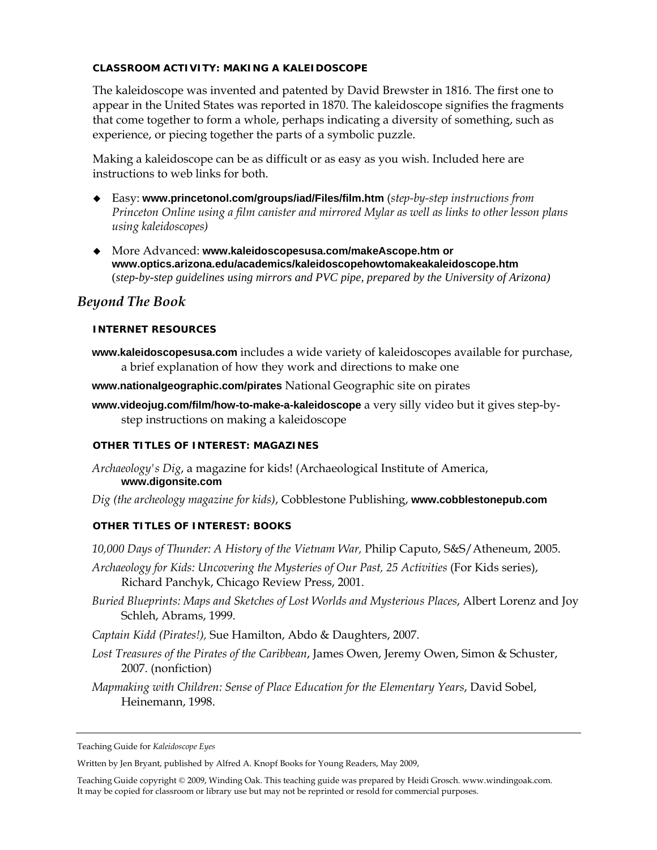### **CLASSROOM ACTIVITY: MAKING A KALEIDOSCOPE**

The kaleidoscope was invented and patented by David Brewster in 1816. The first one to appear in the United States was reported in 1870. The kaleidoscope signifies the fragments that come together to form a whole, perhaps indicating a diversity of something, such as experience, or piecing together the parts of a symbolic puzzle.

Making a kaleidoscope can be as difficult or as easy as you wish. Included here are instructions to web links for both.

- Easy: **www.princetonol.com/groups/iad/Files/film.htm** (*step-by-step instructions from Princeton Online using a film canister and mirrored Mylar as well as links to other lesson plans using kaleidoscopes)*
- More Advanced: **www.kaleidoscopesusa.com/makeAscope.htm or www.optics.arizona.edu/academics/kaleidoscopehowtomakeakaleidoscope.htm** (*step-by-step guidelines using mirrors and PVC pipe, prepared by the University of Arizona)*

# *Beyond The Book*

#### **INTERNET RESOURCES**

**www.kaleidoscopesusa.com** includes a wide variety of kaleidoscopes available for purchase, a brief explanation of how they work and directions to make one

**www.nationalgeographic.com/pirates** National Geographic site on pirates

**www.videojug.com/film/how-to-make-a-kaleidoscope** a very silly video but it gives step-bystep instructions on making a kaleidoscope

#### **OTHER TITLES OF INTEREST: MAGAZINES**

- *Archaeology's Dig*, a magazine for kids! (Archaeological Institute of America, **www.digonsite.com**
- *Dig (the archeology magazine for kids)*, Cobblestone Publishing, **www.cobblestonepub.com**

# **OTHER TITLES OF INTEREST: BOOKS**

*10,000 Days of Thunder: A History of the Vietnam War,* Philip Caputo, S&S/Atheneum, 2005.

- *Archaeology for Kids: Uncovering the Mysteries of Our Past, 25 Activities* (For Kids series), Richard Panchyk, Chicago Review Press, 2001.
- *Buried Blueprints: Maps and Sketches of Lost Worlds and Mysterious Places*, Albert Lorenz and Joy Schleh, Abrams, 1999.
- *Captain Kidd (Pirates!),* Sue Hamilton, Abdo & Daughters, 2007.
- *Lost Treasures of the Pirates of the Caribbean*, James Owen, Jeremy Owen, Simon & Schuster, 2007. (nonfiction)
- *Mapmaking with Children: Sense of Place Education for the Elementary Years*, David Sobel, Heinemann, 1998.

Teaching Guide for *Kaleidoscope Eyes* 

Written by Jen Bryant, published by Alfred A. Knopf Books for Young Readers, May 2009,

Teaching Guide copyright © 2009, Winding Oak. This teaching guide was prepared by Heidi Grosch. www.windingoak.com. It may be copied for classroom or library use but may not be reprinted or resold for commercial purposes.